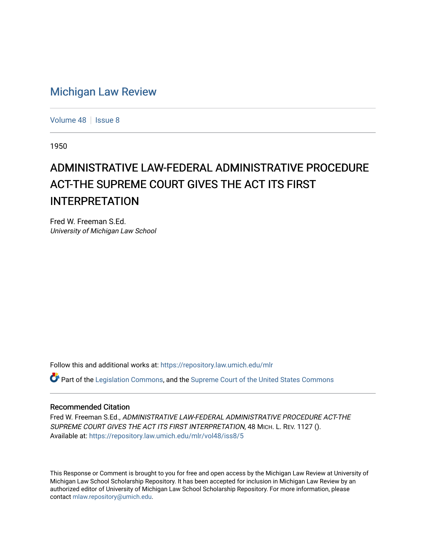## [Michigan Law Review](https://repository.law.umich.edu/mlr)

[Volume 48](https://repository.law.umich.edu/mlr/vol48) | [Issue 8](https://repository.law.umich.edu/mlr/vol48/iss8)

1950

## ADMINISTRATIVE LAW-FEDERAL ADMINISTRATIVE PROCEDURE ACT-THE SUPREME COURT GIVES THE ACT ITS FIRST INTERPRETATION

Fred W. Freeman S.Ed. University of Michigan Law School

Follow this and additional works at: [https://repository.law.umich.edu/mlr](https://repository.law.umich.edu/mlr?utm_source=repository.law.umich.edu%2Fmlr%2Fvol48%2Fiss8%2F5&utm_medium=PDF&utm_campaign=PDFCoverPages) 

 $\bullet$  Part of the [Legislation Commons](http://network.bepress.com/hgg/discipline/859?utm_source=repository.law.umich.edu%2Fmlr%2Fvol48%2Fiss8%2F5&utm_medium=PDF&utm_campaign=PDFCoverPages), and the [Supreme Court of the United States Commons](http://network.bepress.com/hgg/discipline/1350?utm_source=repository.law.umich.edu%2Fmlr%2Fvol48%2Fiss8%2F5&utm_medium=PDF&utm_campaign=PDFCoverPages)

## Recommended Citation

Fred W. Freeman S.Ed., ADMINISTRATIVE LAW-FEDERAL ADMINISTRATIVE PROCEDURE ACT-THE SUPREME COURT GIVES THE ACT ITS FIRST INTERPRETATION, 48 MICH. L. REV. 1127 (). Available at: [https://repository.law.umich.edu/mlr/vol48/iss8/5](https://repository.law.umich.edu/mlr/vol48/iss8/5?utm_source=repository.law.umich.edu%2Fmlr%2Fvol48%2Fiss8%2F5&utm_medium=PDF&utm_campaign=PDFCoverPages)

This Response or Comment is brought to you for free and open access by the Michigan Law Review at University of Michigan Law School Scholarship Repository. It has been accepted for inclusion in Michigan Law Review by an authorized editor of University of Michigan Law School Scholarship Repository. For more information, please contact [mlaw.repository@umich.edu](mailto:mlaw.repository@umich.edu).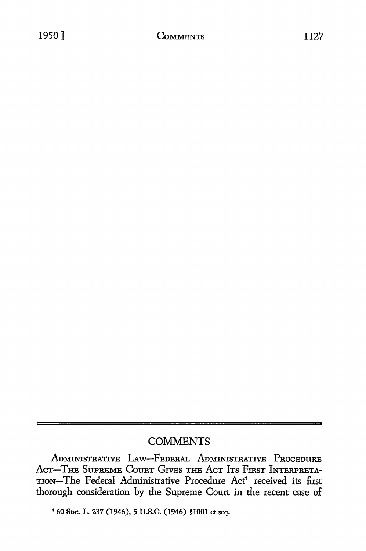## **COMMENTS**

ADMINISTRATIVE LAW-FEDERAL ADMINISTRATIVE PROCEDURE ACT-THE SUPREME COURT GIVES THE ACT ITS FIRST INTERPRETA-TION-The Federal Administrative Procedure Act<sup>1</sup> received its first thorough consideration by the Supreme Court in the recent case of

1 60 Stat. L. 237 (1946), 5 U.S.C. (1946) §1001 et seq.

l,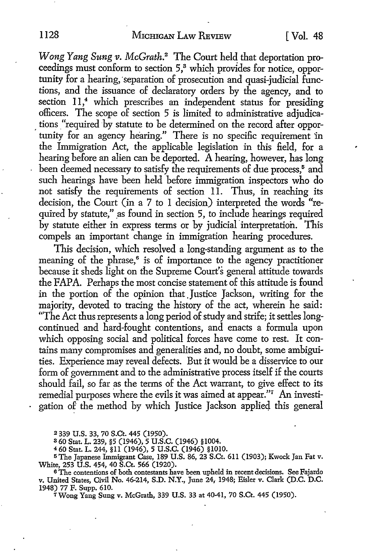*Wong Yang Sung v. McGrath*.<sup>2</sup> The Court held that deportation proceedings must conform to section 5,<sup>3</sup> which provides for notice, opportunity for a hearing, separation of prosecution and quasi-judicial functions, and the issuance of declaratory orders by the agency, and to section 11,<sup>4</sup> which prescribes an independent status for presiding officers. The scope of section 5 is limited to administrative adjudica tions "required by statute to be determined on the record after opportunity for an agency hearing." There is no specific requirement in the Immigration Act, the applicable legislation in this field, for a hearing before an alien can be deported. A hearing, however, has long been deemed necessary to satisfy the requirements of due process,<sup>5</sup> and such hearings have been held before immigration inspectors who do not satisfy the requirements of section 11. Thus, in reaching its decisicm, the Court (in a 7 to I decision) interpreted the words "required by statute," as found in section 5, to include hearings required by statute either in express terms or by judicial interpretation. This compels an important change in immigration hearing procedures.

This decision, which resolved a long-standing argument as to the meaning of the phrase,<sup>6</sup> is of importance to the agency practitioner because it sheds light on the Supreme Court's general attitude towards the FAPA. Perhaps the most concise statement of this attitude is found in the portion of the opinion that Justice Jackson, writing for the majority, devoted to tracing the history of the act, wherein he said: "The Act thus represents a long period of study and strife; it settles longcontinued and hard-fought contentions, and enacts a formula upon which opposing social and political forces have come to rest. It contains many compromises and generalities and, no doubt, some ambiguities. Experience may reveal defects. But it would be a disservice to our form of government and to the administrative process itself if the courts should fail, so far as the terms of the Act warrant, to give effect to its remedial purposes where the evils it was aimed at appear."<sup>7</sup> An investigation of the method by which Justice Jackson applied this general

<sup>2</sup>339 U.S. 33, 70 S.Ct. 445 (1950).

s 60 Stat. L. 239, §5 (1946), 5 U.S.C. (1946) §1004.

<sup>4</sup>60 Stat. L. 244, §11 (1946), 5 U.S.C. (1946) §1010.

5The Japanese Immigrant Case, 189 U.S. 86, 23 S.Ct. 611 (1903); Kwack Jan Fat v. White, 253 U.S. 454, 40 S.Ct. 566 (1920).

<sup>6</sup>The contentions of both contestants have been upheld in recent decisions. See Fajardo v. United States, Civil No. 46-214, S.D. N.Y., June 24, 1948; Eisler v. Clark (D.C. D.C. 1948) 77 F. Supp. 610.

7 Wong Yang Sung v. McGrath, 339 U.S. 33 at 40-41, 70 S.Ct. 445 (1950).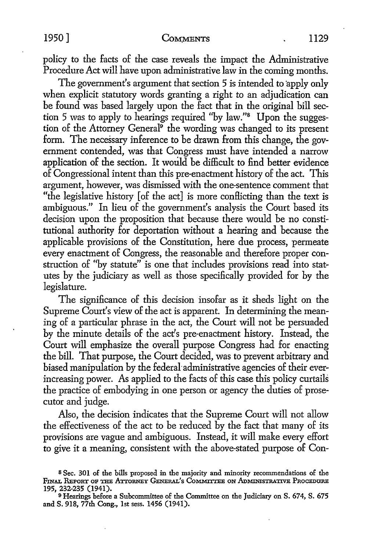1950 <u>Comments</u> (1129

policy to the facts of the case reveals the impact the Administrative Procedure Act will have upon administrative law in the coming months.

The government's argument that section 5 is intended to apply only when explicit statutory words granting a right to an adjudication can be found was based largely upon the fact that in the original bill section 5 was to apply to hearings required ''by law."8 Upon the suggestion of the Attorney General<sup>9</sup> the wording was changed to its present form. The necessary inference to be drawn from this change, the government contended, was that Congress must have intended a narrow application of the section. It would be difficult to find better evidence of Congressional intent than this pre-enactment history of the act. This argument, however, was dismissed with the one-sentence comment that "the legislative history [of the act] is more conflicting than the text is ambiguous." In lieu of the government's analysis the Court based its decision upon the proposition that because there would be no constitutional authority for deportation without a hearing and because the applicable provisions of the Constitution, here due process, permeate every enactment of Congress, the reasonable and therefore proper construction of ''by statute" is one that includes provisions read into statutes by the judiciary as well as those specifically provided for by the legislature.

The significance of this decision insofar as it sheds light on the Supreme Court's view of the act is apparent. In determining the meaning of a particular phrase in the act, the Court will not be persuaded by the minute details of the act's pre-enactment history. Instead, the Court will emphasize the overall purpose Congress had for enacting the bill. That purpose, the Court decided, was to prevent arbitrary and biased manipulation by the federal administrative agencies of their everincreasing power. As applied to the facts of this case this policy curtails the practice of embodying in one person or agency the duties of prosecutor and judge.

Also, the decision indicates that the Supreme Court will not allow the effectiveness of the act to be reduced by the fact that many of its provisions are vague and ambiguous. Instead, it will make every effort to give it a meaning, consistent with the above-stated purpose of Con-

<sup>8</sup>Sec. 301 of the bills proposed in the majority and minority recommendations of the FINAL REPORT OF THE ATTORNEY GENERAL'S COMMITTEE ON ADMINISTRATIVE PROCEDURE 195, 232-235 (1941).

<sup>9</sup>Hearings before a Subcommittee of the Committee on the Judiciary on S. 674, S. 675 and S. 918, 77th Cong., 1st sess. 1456 (1941).